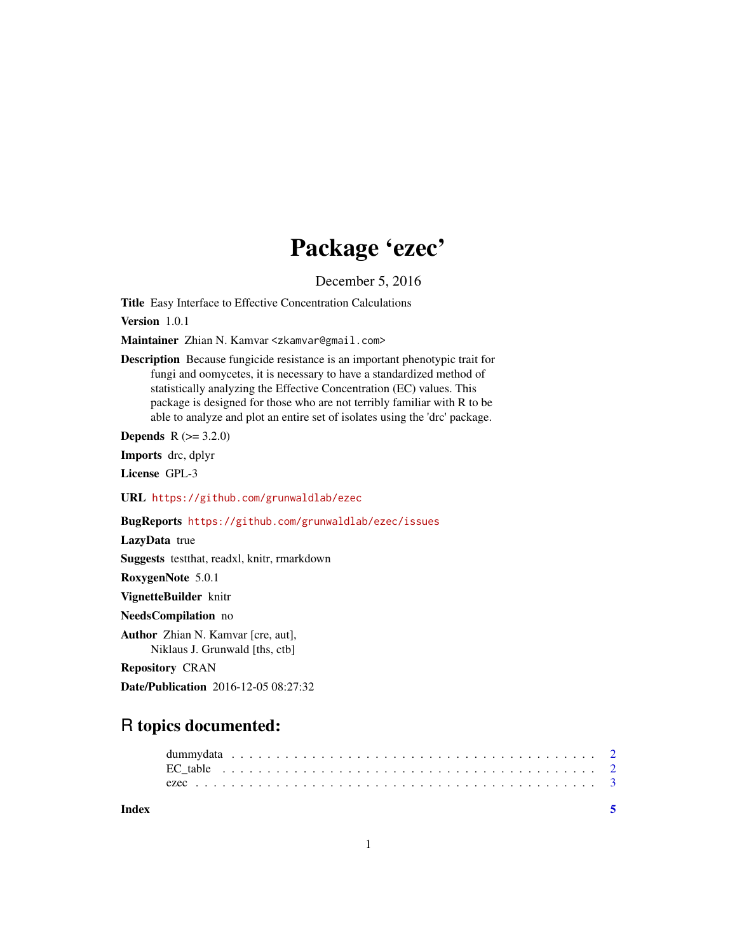# Package 'ezec'

December 5, 2016

<span id="page-0-0"></span>Title Easy Interface to Effective Concentration Calculations

Version 1.0.1

Maintainer Zhian N. Kamvar <zkamvar@gmail.com>

Description Because fungicide resistance is an important phenotypic trait for fungi and oomycetes, it is necessary to have a standardized method of statistically analyzing the Effective Concentration (EC) values. This package is designed for those who are not terribly familiar with R to be able to analyze and plot an entire set of isolates using the 'drc' package.

**Depends**  $R (= 3.2.0)$ 

Imports drc, dplyr

License GPL-3

URL <https://github.com/grunwaldlab/ezec>

BugReports <https://github.com/grunwaldlab/ezec/issues>

LazyData true

Suggests testthat, readxl, knitr, rmarkdown

RoxygenNote 5.0.1

VignetteBuilder knitr

NeedsCompilation no

Author Zhian N. Kamvar [cre, aut], Niklaus J. Grunwald [ths, ctb]

Repository CRAN

Date/Publication 2016-12-05 08:27:32

# R topics documented:

| Index |  |  |  |  |  |  |  |  |  |  |  |  |  |  |  |  |  |  |  |
|-------|--|--|--|--|--|--|--|--|--|--|--|--|--|--|--|--|--|--|--|
|       |  |  |  |  |  |  |  |  |  |  |  |  |  |  |  |  |  |  |  |
|       |  |  |  |  |  |  |  |  |  |  |  |  |  |  |  |  |  |  |  |
|       |  |  |  |  |  |  |  |  |  |  |  |  |  |  |  |  |  |  |  |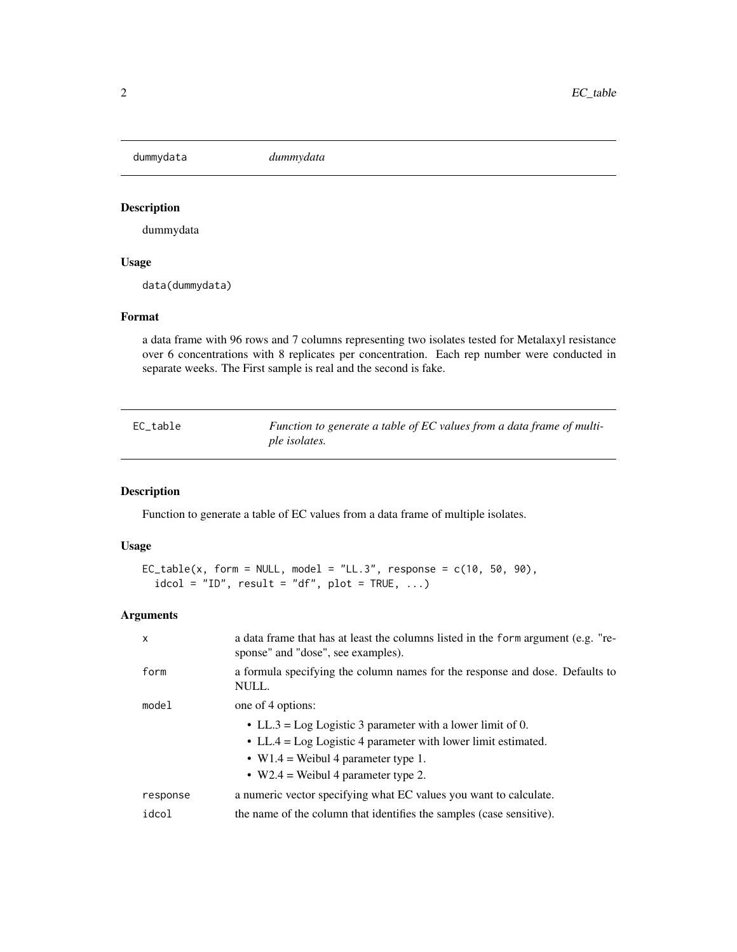<span id="page-1-2"></span><span id="page-1-0"></span>dummydata *dummydata*

# Description

dummydata

# Usage

data(dummydata)

#### Format

a data frame with 96 rows and 7 columns representing two isolates tested for Metalaxyl resistance over 6 concentrations with 8 replicates per concentration. Each rep number were conducted in separate weeks. The First sample is real and the second is fake.

<span id="page-1-1"></span>

| EC table | Function to generate a table of EC values from a data frame of multi- |
|----------|-----------------------------------------------------------------------|
|          | ple isolates.                                                         |

# Description

Function to generate a table of EC values from a data frame of multiple isolates.

#### Usage

```
EC_table(x, form = NULL, model = "LL.3", response = c(10, 50, 90),idcol = "ID", result = "df", plot = TRUE, ...)
```
# Arguments

| $\boldsymbol{\mathsf{x}}$ | a data frame that has at least the columns listed in the form argument (e.g. "re-<br>sponse" and "dose", see examples). |
|---------------------------|-------------------------------------------------------------------------------------------------------------------------|
| form                      | a formula specifying the column names for the response and dose. Defaults to<br>NULL.                                   |
| model                     | one of 4 options:                                                                                                       |
|                           | • LL.3 = Log Logistic 3 parameter with a lower limit of 0.                                                              |
|                           | • LL.4 = Log Logistic 4 parameter with lower limit estimated.                                                           |
|                           | • W1.4 = Weibul 4 parameter type 1.                                                                                     |
|                           | • W2.4 = Weibul 4 parameter type 2.                                                                                     |
| response                  | a numeric vector specifying what EC values you want to calculate.                                                       |
| idcol                     | the name of the column that identifies the samples (case sensitive).                                                    |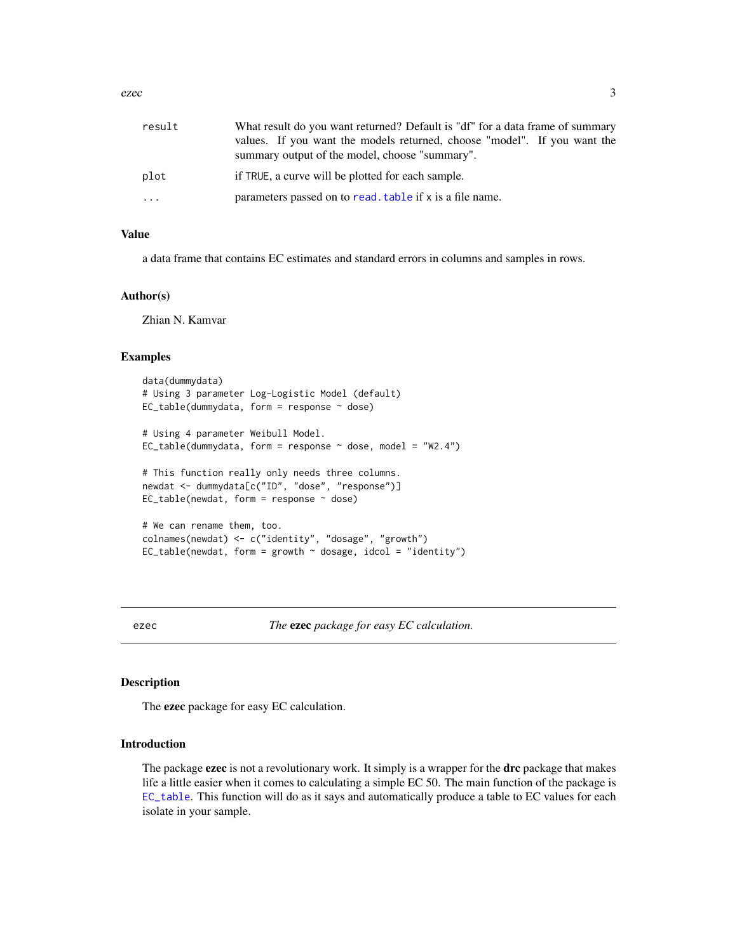<span id="page-2-0"></span>ezec 3

| result | What result do you want returned? Default is "df" for a data frame of summary                                              |
|--------|----------------------------------------------------------------------------------------------------------------------------|
|        | values. If you want the models returned, choose "model". If you want the<br>summary output of the model, choose "summary". |
| plot   | if TRUE, a curve will be plotted for each sample.                                                                          |
| .      | parameters passed on to read, table if x is a file name.                                                                   |

#### Value

a data frame that contains EC estimates and standard errors in columns and samples in rows.

#### Author(s)

Zhian N. Kamvar

#### Examples

```
data(dummydata)
# Using 3 parameter Log-Logistic Model (default)
EC_table(dummydata, form = response ~ close)# Using 4 parameter Weibull Model.
EC_table(dummydata, form = response \sim dose, model = "W2.4")
# This function really only needs three columns.
newdat <- dummydata[c("ID", "dose", "response")]
EC_table(newdat, form = response ~ close)# We can rename them, too.
colnames(newdat) <- c("identity", "dosage", "growth")
EC\_table(newdat, form = growth ~ dosage, idcol = "identity")
```
ezec *The* ezec *package for easy EC calculation.*

#### Description

The ezec package for easy EC calculation.

#### Introduction

The package **ezec** is not a revolutionary work. It simply is a wrapper for the **drc** package that makes life a little easier when it comes to calculating a simple EC 50. The main function of the package is [EC\\_table](#page-1-1). This function will do as it says and automatically produce a table to EC values for each isolate in your sample.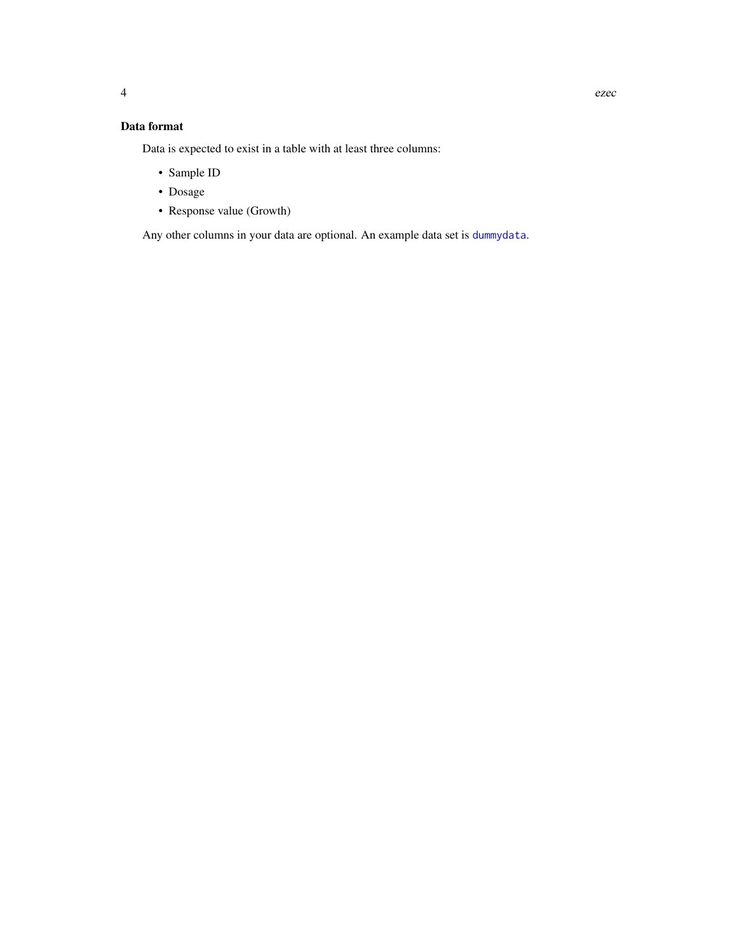# <span id="page-3-0"></span>Data format

Data is expected to exist in a table with at least three columns:

- Sample ID
- Dosage
- Response value (Growth)

Any other columns in your data are optional. An example data set is [dummydata](#page-1-2).